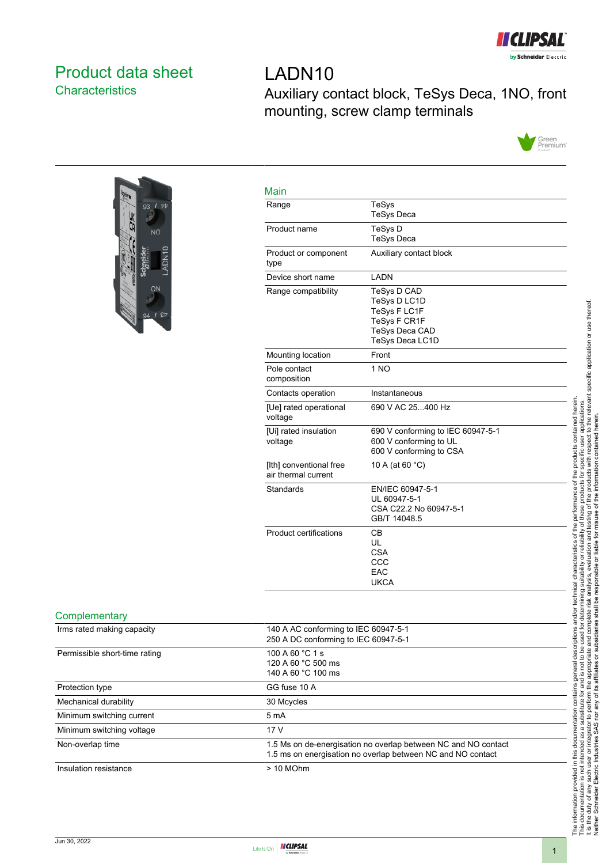

# <span id="page-0-0"></span>Product data sheet **Characteristics**

# LADN10 Auxiliary contact block, TeSys Deca, 1NO, front mounting, screw clamp terminals





| Range                                          | <b>TeSys</b>                                                                                            |
|------------------------------------------------|---------------------------------------------------------------------------------------------------------|
|                                                | <b>TeSys Deca</b>                                                                                       |
| Product name                                   | TeSys D<br><b>TeSys Deca</b>                                                                            |
| Product or component<br>type                   | Auxiliary contact block                                                                                 |
| Device short name                              | <b>I ADN</b>                                                                                            |
| Range compatibility                            | TeSys D CAD<br>TeSys D LC1D<br>TeSys F LC1F<br>TeSys F CR1F<br>TeSys Deca CAD<br><b>TeSys Deca LC1D</b> |
| Mounting location                              | Front                                                                                                   |
| Pole contact<br>composition                    | 1 <sub>NO</sub>                                                                                         |
| Contacts operation                             | Instantaneous                                                                                           |
| [Ue] rated operational<br>voltage              | 690 V AC 25400 Hz                                                                                       |
| [Ui] rated insulation<br>voltage               | 690 V conforming to IEC 60947-5-1<br>600 V conforming to UL<br>600 V conforming to CSA                  |
| [Ith] conventional free<br>air thermal current | 10 A (at 60 °C)                                                                                         |
| Standards                                      | EN/IEC 60947-5-1<br>UL 60947-5-1<br>CSA C22.2 No 60947-5-1<br>GB/T 14048.5                              |
| Product certifications                         | CВ<br>UL<br><b>CSA</b><br>CCC<br>EAC<br><b>UKCA</b>                                                     |

#### **Complementary**

| Irms rated making capacity    | 140 A AC conforming to IEC 60947-5-1<br>250 A DC conforming to IEC 60947-5-1                                                  |
|-------------------------------|-------------------------------------------------------------------------------------------------------------------------------|
| Permissible short-time rating | 100 A 60 °C 1 s<br>120 A 60 °C 500 ms<br>140 A 60 °C 100 ms                                                                   |
| Protection type               | GG fuse 10 A                                                                                                                  |
| Mechanical durability         | 30 Mcycles                                                                                                                    |
| Minimum switching current     | 5 <sub>m</sub> A                                                                                                              |
| Minimum switching voltage     | 17 V                                                                                                                          |
| Non-overlap time              | 1.5 Ms on de-energisation no overlap between NC and NO contact<br>1.5 ms on energisation no overlap between NC and NO contact |
| Insulation resistance         | $> 10$ MOhm                                                                                                                   |
|                               |                                                                                                                               |